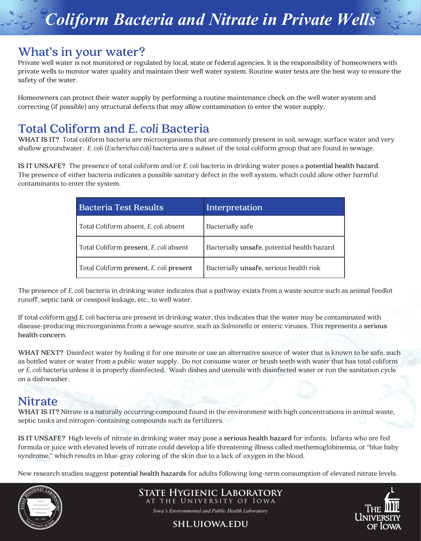# *Coliform Bacteria and Nitrate in Private Wells*

#### **What's in your water?**

Private well water is not monitored or regulated by local, state or federal agencies. It is the responsibility of homeowners with private wells to monitor water quality and maintain their well water system. Routine water tests are the best way to ensure the safety of the water.

Homeowners can protect their water supply by performing a routine maintenance check on the well water system and correcting (if possible) any structural defects that may allow contamination to enter the water supply.

## **Total Coliform and** *E. coli* **Bacteria**

**WHAT IS IT?** Total coliform bacteria are microorganisms that are commonly present in soil, sewage, surface water and very shallow groundwater. *E. coli* (*Escherichia coli)* bacteria are a subset of the total coliform group that are found in sewage.

**IS IT UNSAFE?** The presence of total coliform and/or *E. coli* bacteria in drinking water poses a **potential health hazard**. The presence of either bacteria indicates a possible sanitary defect in the well system, which could allow other harmful contaminants to enter the system.

| <b>Bacteria Test Results</b>            | Interpretation                              |
|-----------------------------------------|---------------------------------------------|
| Total Coliform absent, E. coli absent   | Bacterially safe                            |
| Total Coliform present, E. coli absent  | Bacterially unsafe, potential health hazard |
| Total Coliform present, E. coli present | Bacterially unsafe, serious health risk     |

The presence of *E. coli* bacteria in drinking water indicates that a pathway exists from a waste source such as animal feedlot runoff, septic tank or cesspool leakage, etc., to well water.

If total coliform and *E. coli* bacteria are present in drinking water, this indicates that the water may be contaminated with disease-producing microorganisms from a sewage source, such as *Salmonella* or enteric viruses. This represents a **serious health concern**.

**WHAT NEXT?** Disinfect water by boiling it for one minute or use an alternative source of water that is known to be safe, such as bottled water or water from a public water supply. Do not consume water or brush teeth with water that has total coliform or *E. coli* bacteria unless it is properly disinfected. Wash dishes and utensils with disinfected water or run the sanitation cycle on a dishwasher.

### **Nitrate**

**WHAT IS IT?** Nitrate is a naturally occurring compound found in the environment with high concentrations in animal waste, septic tanks and nitrogen-containing compounds such as fertilizers.

**IS IT UNSAFE?** High levels of nitrate in drinking water may pose a **serious health hazard** for infants. Infants who are fed formula or juice with elevated levels of nitrate could develop a life threatening illness called methemoglobinemia, or "blue baby syndrome," which results in blue-gray coloring of the skin due to a lack of oxygen in the blood.

New research studies suggest **potential health hazards** for adults following long-term consumption of elevated nitrate levels.



**State Hygienic Laboratory** at the University of Iowa

*Iowa's Environmental and Public Health Laboratory*

**shl.uiowa.edu**